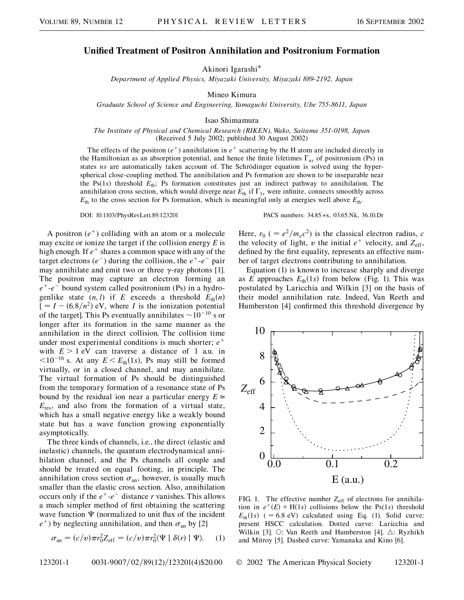## **Unified Treatment of Positron Annihilation and Positronium Formation**

Akinori Igarashi\*

*Department of Applied Physics, Miyazaki University, Miyazaki 889-2192, Japan*

Mineo Kimura

*Graduate School of Science and Engineering, Yamaguchi University, Ube 755-8611, Japan*

Isao Shimamura

*The Institute of Physical and Chemical Research (RIKEN), Wako, Saitama 351-0198, Japan* (Received 5 July 2002; published 30 August 2002)

The effects of the positron  $(e^+)$  annihilation in  $e^+$  scattering by the H atom are included directly in the Hamiltonian as an absorption potential, and hence the finite lifetimes  $\Gamma_{ns}$  of positronium (Ps) in states *ns* are automatically taken account of. The Schrödinger equation is solved using the hyperspherical close-coupling method. The annihilation and Ps formation are shown to be inseparable near the Ps(1*s*) threshold *E*th; Ps formation constitutes just an indirect pathway to annihilation. The annihilation cross section, which would diverge near  $E_{th}$  if  $\Gamma_{1s}$  were infinite, connects smoothly across  $E_{\text{th}}$  to the cross section for Ps formation, which is meaningful only at energies well above  $E_{\text{th}}$ .

A positron  $(e^+)$  colliding with an atom or a molecule may excite or ionize the target if the collision energy *E* is high enough. If  $e^+$  shares a common space with any of the target electrons  $(e^-)$  during the collision, the  $e^+$ - $e^-$  pair may annihilate and emit two or three  $\gamma$ -ray photons [1]. The positron may capture an electron forming an  $e^+$ - $e^-$  bound system called positronium (Ps) in a hydrogenlike state  $(n, l)$  if *E* exceeds a threshold  $E_{th}(n)$  $I = I - (6.8/n^2)$  eV, where *I* is the ionization potential of the target]. This Ps eventually annihilates  $\sim$ 10<sup>-10</sup> s or longer after its formation in the same manner as the annihilation in the direct collision. The collision time under most experimental conditions is much shorter; *e* with  $E > 1$  eV can traverse a distance of 1 a.u. in  $\langle 10^{-16}$  s. At any  $E \le E_{th}(1s)$ , Ps may still be formed virtually, or in a closed channel, and may annihilate. The virtual formation of Ps should be distinguished from the temporary formation of a resonance state of Ps bound by the residual ion near a particular energy  $E \approx$  $E_{\text{res}}$ , and also from the formation of a virtual state, which has a small negative energy like a weakly bound state but has a wave function growing exponentially asymptotically.

The three kinds of channels, i.e., the direct (elastic and inelastic) channels, the quantum electrodynamical annihilation channel, and the Ps channels all couple and should be treated on equal footing, in principle. The annihilation cross section  $\sigma_{an}$ , however, is usually much smaller than the elastic cross section. Also, annihilation occurs only if the  $e^+$ - $e^-$  distance *r* vanishes. This allows a much simpler method of first obtaining the scattering wave function  $\Psi$  (normalized to unit flux of the incident  $e^+$ ) by neglecting annihilation, and then  $\sigma_{an}$  by [2]

$$
\sigma_{\text{an}} = (c/v)\pi r_0^2 Z_{\text{eff}} = (c/v)\pi r_0^2 \langle \Psi | \delta(r) | \Psi \rangle. \tag{1}
$$

DOI: 10.1103/PhysRevLett.89.123201 PACS numbers: 34.85.+x, 03.65.Nk, 36.10.Dr

Here,  $r_0$  ( =  $e^2/m_e c^2$ ) is the classical electron radius, *c* the velocity of light,  $v$  the initial  $e^+$  velocity, and  $Z_{\text{eff}}$ , defined by the first equality, represents an effective number of target electrons contributing to annihilation.

Equation (1) is known to increase sharply and diverge as *E* approaches  $E_{\text{th}}(1s)$  from below (Fig. 1). This was postulated by Laricchia and Wilkin [3] on the basis of their model annihilation rate. Indeed, Van Reeth and Humberston [4] confirmed this threshold divergence by



FIG. 1. The effective number  $Z_{\text{eff}}$  of electrons for annihilation in  $e^+(E) + H(1s)$  collisions below the Ps(1*s*) threshold  $E_{\text{th}}(1s)$  ( = 6.8 eV) calculated using Eq. (1). Solid curve: present HSCC calculation. Dotted curve: Laricchia and Wilkin [3].  $\circ$ : Van Reeth and Humberston [4].  $\triangle$ : Ryzhikh and Mitroy [5]. Dashed curve: Yamanaka and Kino [6].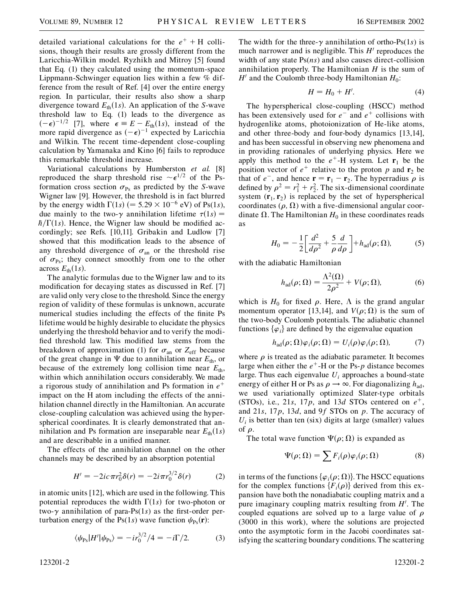detailed variational calculations for the  $e^+ + H$  collisions, though their results are grossly different from the Laricchia-Wilkin model. Ryzhikh and Mitroy [5] found that Eq. (1) they calculated using the momentum-space Lippmann-Schwinger equation lies within a few % difference from the result of Ref. [4] over the entire energy region. In particular, their results also show a sharp divergence toward  $E_{th}(1s)$ . An application of the *S*-wave threshold law to Eq. (1) leads to the divergence as  $(-\epsilon)^{-1/2}$  [7], where  $\epsilon = E - E_{\text{th}}(1s)$ , instead of the more rapid divergence as  $(-\epsilon)^{-1}$  expected by Laricchia and Wilkin. The recent time-dependent close-coupling calculation by Yamanaka and Kino [6] fails to reproduce this remarkable threshold increase.

Variational calculations by Humberston *et al.* [8] reproduced the sharp threshold rise  $\sim \epsilon^{1/2}$  of the Psformation cross section  $\sigma_{\text{Ps}}$  as predicted by the *S*-wave Wigner law [9]. However, the threshold is in fact blurred by the energy width  $\Gamma(1s)$  (= 5.29  $\times$  10<sup>-6</sup> eV) of Ps(1*s*), due mainly to the two- $\gamma$  annihilation lifetime  $\tau(1s)$  =  $\hbar/\Gamma(1s)$ . Hence, the Wigner law should be modified accordingly; see Refs. [10,11]. Gribakin and Ludlow [7] showed that this modification leads to the absence of any threshold divergence of  $\sigma_{an}$  or the threshold rise of  $\sigma_{\text{Ps}}$ ; they connect smoothly from one to the other across  $E_{\text{th}}(1s)$ .

The analytic formulas due to the Wigner law and to its modification for decaying states as discussed in Ref. [7] are valid only very close to the threshold. Since the energy region of validity of these formulas is unknown, accurate numerical studies including the effects of the finite Ps lifetime would be highly desirable to elucidate the physics underlying the threshold behavior and to verify the modified threshold law. This modified law stems from the breakdown of approximation (1) for  $\sigma_{\text{an}}$  or  $Z_{\text{eff}}$  because of the great change in  $\Psi$  due to annihilation near  $E_{th}$ , or because of the extremely long collision time near  $E_{th}$ , within which annihilation occurs considerably. We made a rigorous study of annihilation and Ps formation in *e* impact on the H atom including the effects of the annihilation channel directly in the Hamiltonian. An accurate close-coupling calculation was achieved using the hyperspherical coordinates. It is clearly demonstrated that annihilation and Ps formation are inseparable near  $E_{\text{th}}(1s)$ and are describable in a unified manner.

The effects of the annihilation channel on the other channels may be described by an absorption potential

$$
H' = -2ic\pi r_0^2 \delta(r) = -2i\pi r_0^{3/2} \delta(r)
$$
 (2)

in atomic units [12], which are used in the following. This potential reproduces the width  $\Gamma(1s)$  for two-photon or two- $\gamma$  annihilation of para-Ps(1s) as the first-order perturbation energy of the Ps(1*s*) wave function  $\psi_{\text{Ps}}(\mathbf{r})$ :

$$
\langle \psi_{\rm Ps} | H' | \psi_{\rm Ps} \rangle = -i r_0^{3/2} / 4 = -i \Gamma / 2. \tag{3}
$$

The width for the three- $\gamma$  annihilation of ortho-Ps(1*s*) is much narrower and is negligible. This  $H'$  reproduces the width of any state Ps(*ns*) and also causes direct-collision annihilation properly. The Hamiltonian *H* is the sum of  $H'$  and the Coulomb three-body Hamiltonian  $H_0$ :

$$
H = H_0 + H'.\tag{4}
$$

The hyperspherical close-coupling (HSCC) method has been extensively used for  $e^-$  and  $e^+$  collisions with hydrogenlike atoms, photoionization of He-like atoms, and other three-body and four-body dynamics [13,14], and has been successful in observing new phenomena and in providing rationales of underlying physics. Here we apply this method to the  $e^+$ -H system. Let  $\mathbf{r}_1$  be the position vector of  $e^+$  relative to the proton p and  $\mathbf{r}_2$  be that of  $e^-$ , and hence  $\mathbf{r} = \mathbf{r}_1 - \mathbf{r}_2$ . The hyperradius  $\rho$  is defined by  $\rho^2 = r_1^2 + r_2^2$ . The six-dimensional coordinate system  $(\mathbf{r}_1, \mathbf{r}_2)$  is replaced by the set of hyperspherical coordinates  $(\rho, \Omega)$  with a five-dimensional angular coordinate  $\Omega$ . The Hamiltonian  $H_0$  in these coordinates reads as

$$
H_0 = -\frac{1}{2} \left[ \frac{d^2}{d\rho^2} + \frac{5}{\rho} \frac{d}{d\rho} \right] + h_{\text{ad}}(\rho; \Omega), \tag{5}
$$

with the adiabatic Hamiltonian

$$
h_{\rm ad}(\rho;\Omega) = \frac{\Lambda^2(\Omega)}{2\rho^2} + V(\rho;\Omega),\tag{6}
$$

which is  $H_0$  for fixed  $\rho$ . Here,  $\Lambda$  is the grand angular momentum operator [13,14], and  $V(\rho; \Omega)$  is the sum of the two-body Coulomb potentials. The adiabatic channel functions  $\{\varphi_i\}$  are defined by the eigenvalue equation

$$
h_{\rm ad}(\rho;\Omega)\varphi_i(\rho;\Omega) = U_i(\rho)\varphi_i(\rho;\Omega),\tag{7}
$$

where  $\rho$  is treated as the adiabatic parameter. It becomes large when either the  $e^{\text{+}}$ -H or the Ps-*p* distance becomes large. Thus each eigenvalue *Ui* approaches a bound-state energy of either H or Ps as  $\rho \rightarrow \infty$ . For diagonalizing  $h_{ad}$ , we used variationally optimized Slater-type orbitals (STOs), i.e., 21*s*, 17*p*, and 13*d* STOs centered on  $e^+$ , and 21*s*, 17*p*, 13*d*, and 9*f* STOs on *p*. The accuracy of  $U_i$  is better than ten (six) digits at large (smaller) values of  $\rho$ .

The total wave function  $\Psi(\rho; \Omega)$  is expanded as

$$
\Psi(\rho;\Omega) = \sum F_i(\rho)\varphi_i(\rho;\Omega) \tag{8}
$$

in terms of the functions  $\{\varphi_i(\rho; \Omega)\}\)$ . The HSCC equations for the complex functions  $\{F_i(\rho)\}\$  derived from this expansion have both the nonadiabatic coupling matrix and a pure imaginary coupling matrix resulting from  $H'$ . The coupled equations are solved up to a large value of  $\rho$ (3000 in this work), where the solutions are projected onto the asymptotic form in the Jacobi coordinates satisfying the scattering boundary conditions. The scattering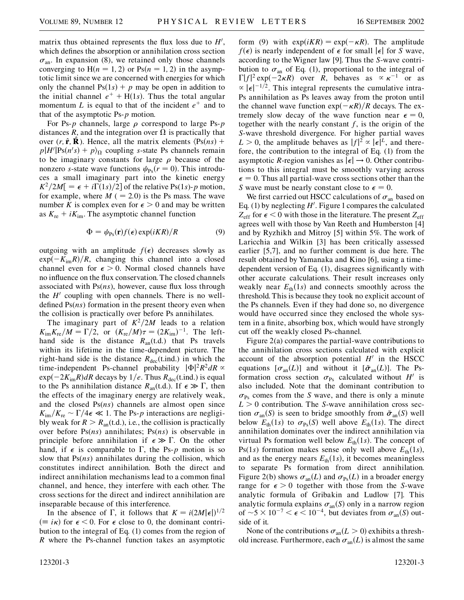matrix thus obtained represents the flux loss due to  $H'$ , which defines the absorption or annihilation cross section  $\sigma_{an}$ . In expansion (8), we retained only those channels converging to  $H(n = 1, 2)$  or  $Ps(n = 1, 2)$  in the asymptotic limit since we are concerned with energies for which only the channel  $Ps(1s) + p$  may be open in addition to the initial channel  $e^+ + H(1s)$ . Thus the total angular momentum L is equal to that of the incident  $e^+$  and to that of the asymptotic Ps-*p* motion.

For Ps- $p$  channels, large  $\rho$  correspond to large Ps- $p$ distances *R*, and the integration over  $\Omega$  is practically that over  $(r, \hat{\mathbf{r}}, \hat{\mathbf{R}})$ . Hence, all the matrix elements  $\langle \text{Ps}(ns) + \rangle$  $p|H'|\text{Ps}(n's) + p\rangle_{\Omega}$  coupling *s*-state Ps channels remain to be imaginary constants for large  $\rho$  because of the nonzero *s*-state wave functions  $\psi_{\text{Ps}}(r=0)$ . This introduces a small imaginary part into the kinetic energy  $K^2/2M = \epsilon + i\Gamma(1s)/2$  of the relative Ps(1*s*)-*p* motion, for example, where  $M$  (  $= 2.0$ ) is the Ps mass. The wave number *K* is complex even for  $\epsilon > 0$  and may be written as  $K_{\text{re}} + iK_{\text{im}}$ . The asymptotic channel function

$$
\Phi = \psi_{\text{Ps}}(\mathbf{r}) f(\epsilon) \exp(iKR) / R \tag{9}
$$

outgoing with an amplitude  $f(\epsilon)$  decreases slowly as  $\exp(-K_{\text{im}}R)/R$ , changing this channel into a closed channel even for  $\epsilon > 0$ . Normal closed channels have no influence on the flux conservation. The closed channels associated with Ps(*ns*), however, cause flux loss through the  $H<sup>1</sup>$  coupling with open channels. There is no welldefined Ps(*ns*) formation in the present theory even when the collision is practically over before Ps annihilates.

The imaginary part of  $K^2/2M$  leads to a relation  $K_{\text{im}}K_{\text{re}}/M = \Gamma/2$ , or  $(K_{\text{re}}/M)\tau = (2K_{\text{im}})^{-1}$ . The lefthand side is the distance  $R_{an}(t.d.)$  that Ps travels within its lifetime in the time-dependent picture. The right-hand side is the distance  $R_{\text{dec}}(t$ .ind.) in which the time-independent Ps-channel probability  $|\Phi|^2 R^2 dR \propto$  $\exp(-2K_{\text{im}}R)dR$  decays by  $1/e$ . Thus  $R_{\text{dec}}(\text{t-ind.})$  is equal to the Ps annihilation distance  $R_{an}(t.d.)$ . If  $\epsilon \gg \Gamma$ , then the effects of the imaginary energy are relatively weak, and the closed Ps(*ns*) channels are almost open since  $K_{\text{im}}/K_{\text{re}} \sim \Gamma/4\epsilon \ll 1$ . The Ps-*p* interactions are negligibly weak for  $R > R<sub>an</sub>(t.d.),$  i.e., the collision is practically over before Ps(*ns*) annihilates; Ps(*ns*) is observable in principle before annihilation if  $\epsilon \gg \Gamma$ . On the other hand, if  $\epsilon$  is comparable to  $\Gamma$ , the Ps-*p* motion is so slow that Ps(*ns*) annihilates during the collision, which constitutes indirect annihilation. Both the direct and indirect annihilation mechanisms lead to a common final channel, and hence, they interfere with each other. The cross sections for the direct and indirect annihilation are inseparable because of this interference.

In the absence of  $\Gamma$ , it follows that  $K = i(2M|\epsilon|)^{1/2}$  $(\equiv i \kappa)$  for  $\epsilon$  < 0. For  $\epsilon$  close to 0, the dominant contribution to the integral of Eq. (1) comes from the region of *R* where the Ps-channel function takes an asymptotic

form (9) with  $exp(iKR) = exp(-\kappa R)$ . The amplitude  $f(\epsilon)$  is nearly independent of  $\epsilon$  for small  $|\epsilon|$  for *S* wave, according to the Wigner law [9]. Thus the *S*-wave contribution to  $\sigma_{\text{an}}$  of Eq. (1), proportional to the integral of  $\Gamma |f|^2 \exp(-2\kappa R)$  over *R*, behaves as  $\propto \kappa^{-1}$  or as  $\propto |\epsilon|^{-1/2}$ . This integral represents the cumulative intra-Ps annihilation as Ps leaves away from the proton until the channel wave function  $\exp(-\kappa R)/R$  decays. The extremely slow decay of the wave function near  $\epsilon = 0$ , together with the nearly constant  $f$ , is the origin of the *S*-wave threshold divergence. For higher partial waves  $L > 0$ , the amplitude behaves as  $|f|^2 \propto |\epsilon|^L$ , and therefore, the contribution to the integral of Eq. (1) from the asymptotic *R*-region vanishes as  $|\epsilon| \rightarrow 0$ . Other contributions to this integral must be smoothly varying across  $\epsilon = 0$ . Thus all partial-wave cross sections other than the *S* wave must be nearly constant close to  $\epsilon = 0$ .

We first carried out HSCC calculations of  $\sigma_{an}$  based on Eq.  $(1)$  by neglecting  $H'$ . Figure 1 compares the calculated  $Z_{\text{eff}}$  for  $\epsilon$  < 0 with those in the literature. The present  $Z_{\text{eff}}$ agrees well with those by Van Reeth and Humberston [4] and by Ryzhikh and Mitroy [5] within 5%. The work of Laricchia and Wilkin [3] has been critically assessed earlier [5,7], and no further comment is due here. The result obtained by Yamanaka and Kino [6], using a timedependent version of Eq. (1), disagrees significantly with other accurate calculations. Their result increases only weakly near  $E_{\text{th}}(1s)$  and connects smoothly across the threshold. This is because they took no explicit account of the Ps channels. Even if they had done so, no divergence would have occurred since they enclosed the whole system in a finite, absorbing box, which would have strongly cut off the weakly closed Ps-channel.

Figure 2(a) compares the partial-wave contributions to the annihilation cross sections calculated with explicit account of the absorption potential  $H'$  in the HSCC equations  $[\sigma_{an}(L)]$  and without it  $[\tilde{\sigma}_{an}(L)]$ . The Psformation cross section  $\sigma_{\text{Ps}}$  calculated without *H*<sup> $\prime$ </sup> is also included. Note that the dominant contribution to  $\sigma_{\rm Ps}$  comes from the *S* wave, and there is only a minute *L >* 0 contribution. The *S*-wave annihilation cross section  $\sigma_{an}(S)$  is seen to bridge smoothly from  $\tilde{\sigma}_{an}(S)$  well below  $E_{\text{th}}(1s)$  to  $\sigma_{\text{Ps}}(S)$  well above  $E_{\text{th}}(1s)$ . The direct annihilation dominates over the indirect annihilation via virtual Ps formation well below  $E_{\text{th}}(1s)$ . The concept of Ps(1*s*) formation makes sense only well above  $E_{\text{th}}(1s)$ , and as the energy nears  $E_{\text{th}}(1s)$ , it becomes meaningless to separate Ps formation from direct annihilation. Figure 2(b) shows  $\sigma_{an}(L)$  and  $\sigma_{Ps}(L)$  in a broader energy range for  $\epsilon > 0$  together with those from the *S*-wave analytic formula of Gribakin and Ludlow [7]. This analytic formula explains  $\sigma_{an}(S)$  only in a narrow region of  $\sim$  5  $\times$  10<sup>-7</sup>  $\lt \epsilon$   $\lt$  10<sup>-4</sup>, but deviates from  $\sigma$ <sub>an</sub>(S) outside of it.

None of the contributions  $\sigma_{an}(L > 0)$  exhibits a threshold increase. Furthermore, each  $\sigma_{an}(L)$  is almost the same